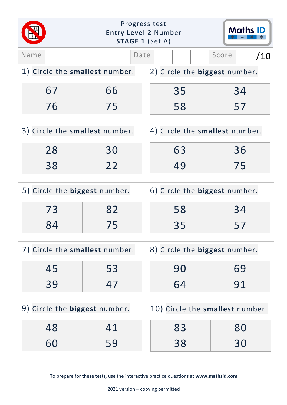|                                | Progress test<br><b>Maths ID</b><br><b>Entry Level 2 Number</b><br><b>STAGE 1 (Set A)</b> |                                 |              |
|--------------------------------|-------------------------------------------------------------------------------------------|---------------------------------|--------------|
| Name                           | Date                                                                                      |                                 | Score<br>/10 |
| 1) Circle the smallest number. |                                                                                           | 2) Circle the biggest number.   |              |
| 67                             | 66                                                                                        | 35                              | 34           |
| 76                             | 75                                                                                        | 58                              | 57           |
| 3) Circle the smallest number. |                                                                                           | 4) Circle the smallest number.  |              |
| 28                             | 30                                                                                        | 63                              | 36           |
| 38                             | 22                                                                                        | 49                              | 75           |
| 5) Circle the biggest number.  |                                                                                           | 6) Circle the biggest number.   |              |
| 73                             | 82                                                                                        | 58                              | 34           |
| 84                             | 75                                                                                        | 35                              | 57           |
| 7) Circle the smallest number. |                                                                                           | 8) Circle the biggest number.   |              |
| 45                             | 53                                                                                        | 90                              | 69           |
| 39                             | 47                                                                                        | 64                              | 91           |
| 9) Circle the biggest number.  |                                                                                           | 10) Circle the smallest number. |              |
| 48                             | 41                                                                                        | 83                              | 80           |
| 60                             | 59                                                                                        | 38                              | 30           |
|                                |                                                                                           |                                 |              |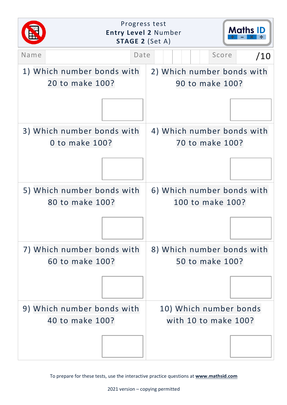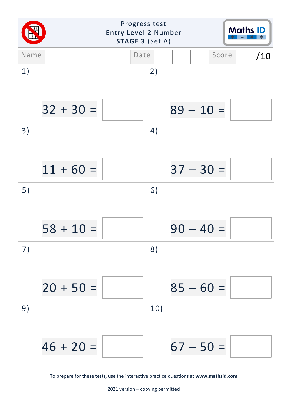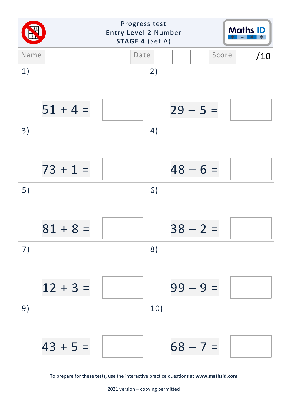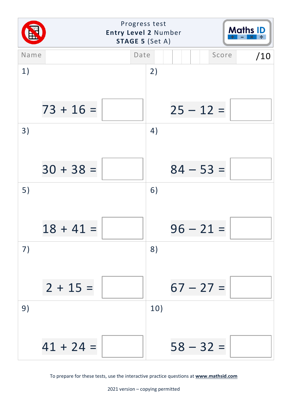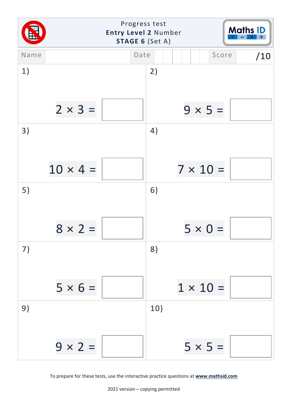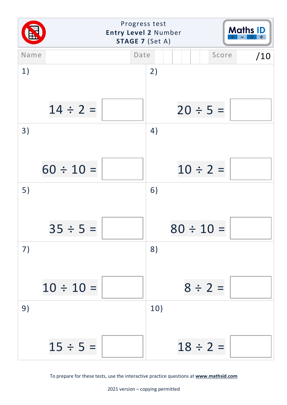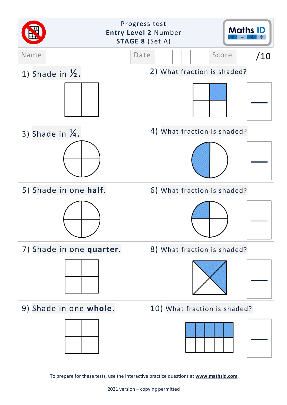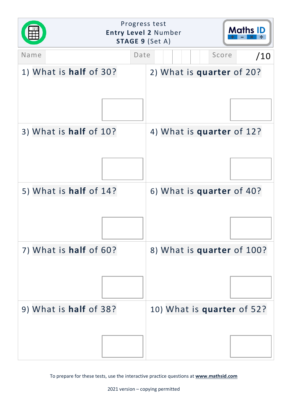